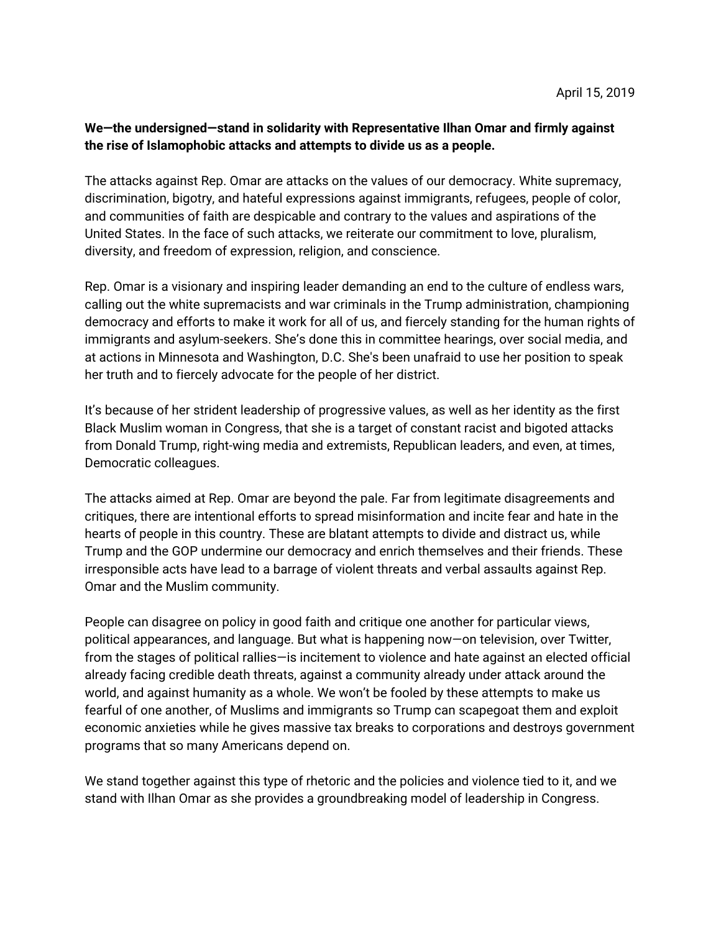## **We—the undersigned—stand in solidarity with Representative Ilhan Omar and firmly against the rise of Islamophobic attacks and attempts to divide us as a people.**

The attacks against Rep. Omar are attacks on the values of our democracy. White supremacy, discrimination, bigotry, and hateful expressions against immigrants, refugees, people of color, and communities of faith are despicable and contrary to the values and aspirations of the United States. In the face of such attacks, we reiterate our commitment to love, pluralism, diversity, and freedom of expression, religion, and conscience.

Rep. Omar is a visionary and inspiring leader demanding an end to the culture of endless wars, calling out the white supremacists and war criminals in the Trump administration, championing democracy and efforts to make it work for all of us, and fiercely standing for the human rights of immigrants and asylum-seekers. She's done this in committee hearings, over social media, and at actions in Minnesota and Washington, D.C. She's been unafraid to use her position to speak her truth and to fiercely advocate for the people of her district.

It's because of her strident leadership of progressive values, as well as her identity as the first Black Muslim woman in Congress, that she is a target of constant racist and bigoted attacks from Donald Trump, right-wing media and extremists, Republican leaders, and even, at times, Democratic colleagues.

The attacks aimed at Rep. Omar are beyond the pale. Far from legitimate disagreements and critiques, there are intentional efforts to spread misinformation and incite fear and hate in the hearts of people in this country. These are blatant attempts to divide and distract us, while Trump and the GOP undermine our democracy and enrich themselves and their friends. These irresponsible acts have lead to a barrage of violent threats and verbal assaults against Rep. Omar and the Muslim community.

People can disagree on policy in good faith and critique one another for particular views, political appearances, and language. But what is happening now—on television, over Twitter, from the stages of political rallies—is incitement to violence and hate against an elected official already facing credible death threats, against a community already under attack around the world, and against humanity as a whole. We won't be fooled by these attempts to make us fearful of one another, of Muslims and immigrants so Trump can scapegoat them and exploit economic anxieties while he gives massive tax breaks to corporations and destroys government programs that so many Americans depend on.

We stand together against this type of rhetoric and the policies and violence tied to it, and we stand with Ilhan Omar as she provides a groundbreaking model of leadership in Congress.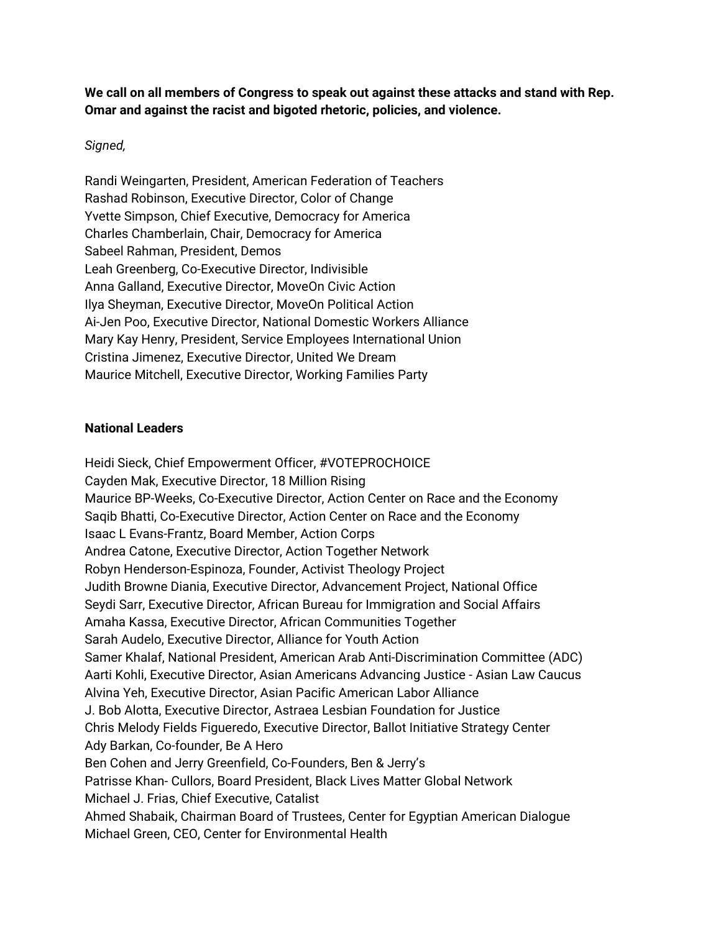**We call on all members of Congress to speak out against these attacks and stand with Rep. Omar and against the racist and bigoted rhetoric, policies, and violence.**

## *Signed,*

Randi Weingarten, President, American Federation of Teachers Rashad Robinson, Executive Director, Color of Change Yvette Simpson, Chief Executive, Democracy for America Charles Chamberlain, Chair, Democracy for America Sabeel Rahman, President, Demos Leah Greenberg, Co-Executive Director, Indivisible Anna Galland, Executive Director, MoveOn Civic Action Ilya Sheyman, Executive Director, MoveOn Political Action Ai-Jen Poo, Executive Director, National Domestic Workers Alliance Mary Kay Henry, President, Service Employees International Union Cristina Jimenez, Executive Director, United We Dream Maurice Mitchell, Executive Director, Working Families Party

## **National Leaders**

Heidi Sieck, Chief Empowerment Officer, #VOTEPROCHOICE Cayden Mak, Executive Director, 18 Million Rising Maurice BP-Weeks, Co-Executive Director, Action Center on Race and the Economy Saqib Bhatti, Co-Executive Director, Action Center on Race and the Economy Isaac L Evans-Frantz, Board Member, Action Corps Andrea Catone, Executive Director, Action Together Network Robyn Henderson-Espinoza, Founder, Activist Theology Project Judith Browne Diania, Executive Director, Advancement Project, National Office Seydi Sarr, Executive Director, African Bureau for Immigration and Social Affairs Amaha Kassa, Executive Director, African Communities Together Sarah Audelo, Executive Director, Alliance for Youth Action Samer Khalaf, National President, American Arab Anti-Discrimination Committee (ADC) Aarti Kohli, Executive Director, Asian Americans Advancing Justice - Asian Law Caucus Alvina Yeh, Executive Director, Asian Pacific American Labor Alliance J. Bob Alotta, Executive Director, Astraea Lesbian Foundation for Justice Chris Melody Fields Figueredo, Executive Director, Ballot Initiative Strategy Center Ady Barkan, Co-founder, Be A Hero Ben Cohen and Jerry Greenfield, Co-Founders, Ben & Jerry's Patrisse Khan- Cullors, Board President, Black Lives Matter Global Network Michael J. Frias, Chief Executive, Catalist Ahmed Shabaik, Chairman Board of Trustees, Center for Egyptian American Dialogue Michael Green, CEO, Center for Environmental Health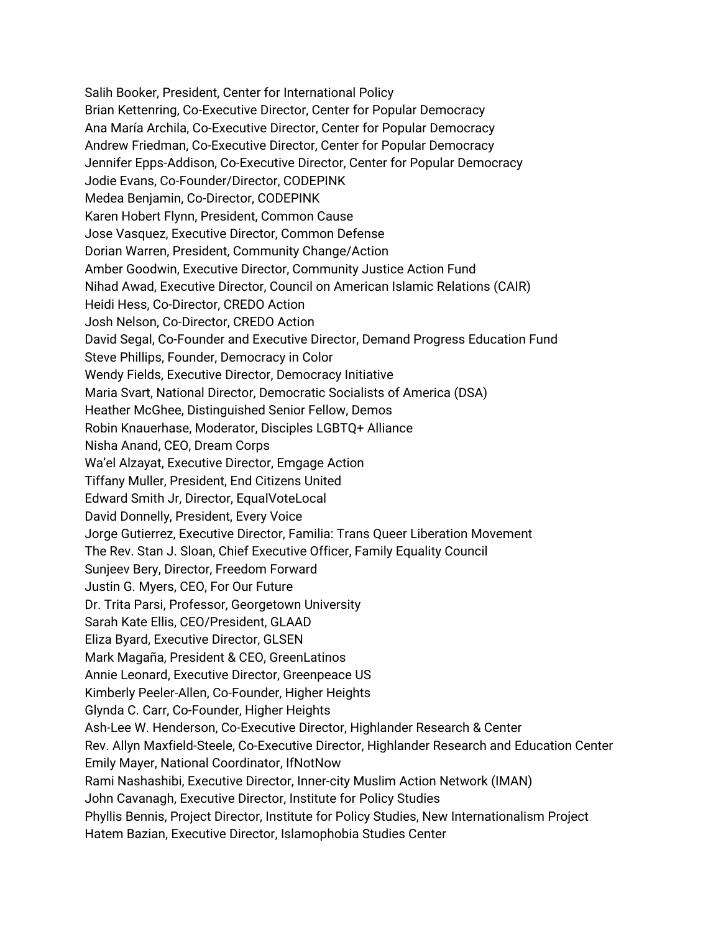Salih Booker, President, Center for International Policy Brian Kettenring, Co-Executive Director, Center for Popular Democracy Ana María Archila, Co-Executive Director, Center for Popular Democracy Andrew Friedman, Co-Executive Director, Center for Popular Democracy Jennifer Epps-Addison, Co-Executive Director, Center for Popular Democracy Jodie Evans, Co-Founder/Director, CODEPINK Medea Benjamin, Co-Director, CODEPINK Karen Hobert Flynn, President, Common Cause Jose Vasquez, Executive Director, Common Defense Dorian Warren, President, Community Change/Action Amber Goodwin, Executive Director, Community Justice Action Fund Nihad Awad, Executive Director, Council on American Islamic Relations (CAIR) Heidi Hess, Co-Director, CREDO Action Josh Nelson, Co-Director, CREDO Action David Segal, Co-Founder and Executive Director, Demand Progress Education Fund Steve Phillips, Founder, Democracy in Color Wendy Fields, Executive Director, Democracy Initiative Maria Svart, National Director, Democratic Socialists of America (DSA) Heather McGhee, Distinguished Senior Fellow, Demos Robin Knauerhase, Moderator, Disciples LGBTQ+ Alliance Nisha Anand, CEO, Dream Corps Wa'el Alzayat, Executive Director, Emgage Action Tiffany Muller, President, End Citizens United Edward Smith Jr, Director, EqualVoteLocal David Donnelly, President, Every Voice Jorge Gutierrez, Executive Director, Familia: Trans Queer Liberation Movement The Rev. Stan J. Sloan, Chief Executive Officer, Family Equality Council Sunjeev Bery, Director, Freedom Forward Justin G. Myers, CEO, For Our Future Dr. Trita Parsi, Professor, Georgetown University Sarah Kate Ellis, CEO/President, GLAAD Eliza Byard, Executive Director, GLSEN Mark Magaña, President & CEO, GreenLatinos Annie Leonard, Executive Director, Greenpeace US Kimberly Peeler-Allen, Co-Founder, Higher Heights Glynda C. Carr, Co-Founder, Higher Heights Ash-Lee W. Henderson, Co-Executive Director, Highlander Research & Center Rev. Allyn Maxfield-Steele, Co-Executive Director, Highlander Research and Education Center Emily Mayer, National Coordinator, IfNotNow Rami Nashashibi, Executive Director, Inner-city Muslim Action Network (IMAN) John Cavanagh, Executive Director, Institute for Policy Studies Phyllis Bennis, Project Director, Institute for Policy Studies, New Internationalism Project Hatem Bazian, Executive Director, Islamophobia Studies Center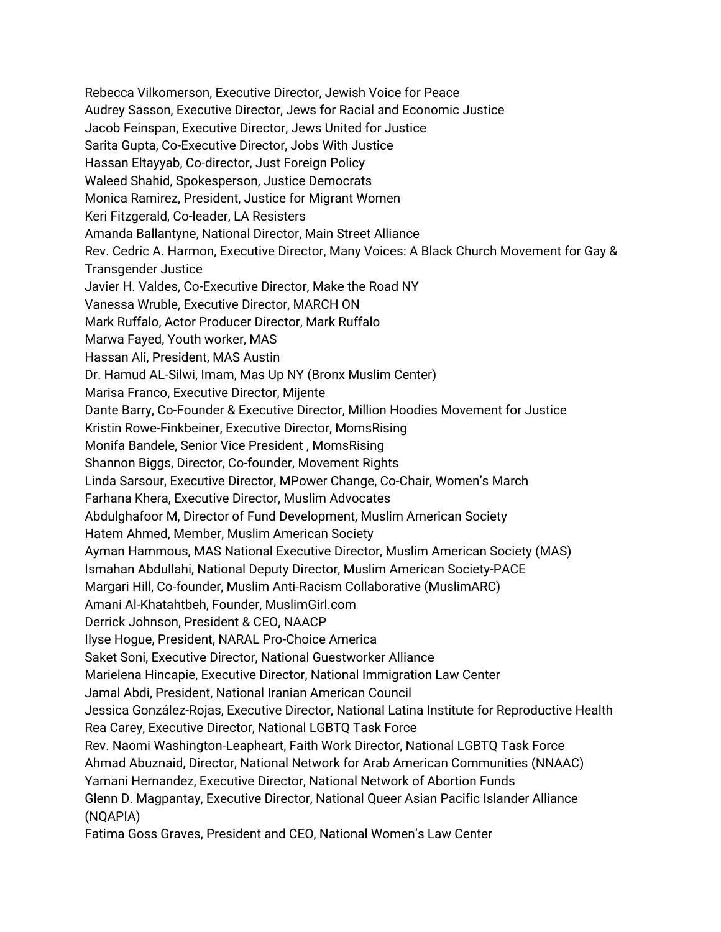Rebecca Vilkomerson, Executive Director, Jewish Voice for Peace Audrey Sasson, Executive Director, Jews for Racial and Economic Justice Jacob Feinspan, Executive Director, Jews United for Justice Sarita Gupta, Co-Executive Director, Jobs With Justice Hassan Eltayyab, Co-director, Just Foreign Policy Waleed Shahid, Spokesperson, Justice Democrats Monica Ramirez, President, Justice for Migrant Women Keri Fitzgerald, Co-leader, LA Resisters Amanda Ballantyne, National Director, Main Street Alliance Rev. Cedric A. Harmon, Executive Director, Many Voices: A Black Church Movement for Gay & Transgender Justice Javier H. Valdes, Co-Executive Director, Make the Road NY Vanessa Wruble, Executive Director, MARCH ON Mark Ruffalo, Actor Producer Director, Mark Ruffalo Marwa Fayed, Youth worker, MAS Hassan Ali, President, MAS Austin Dr. Hamud AL-Silwi, Imam, Mas Up NY (Bronx Muslim Center) Marisa Franco, Executive Director, Mijente Dante Barry, Co-Founder & Executive Director, Million Hoodies Movement for Justice Kristin Rowe-Finkbeiner, Executive Director, MomsRising Monifa Bandele, Senior Vice President , MomsRising Shannon Biggs, Director, Co-founder, Movement Rights Linda Sarsour, Executive Director, MPower Change, Co-Chair, Women's March Farhana Khera, Executive Director, Muslim Advocates Abdulghafoor M, Director of Fund Development, Muslim American Society Hatem Ahmed, Member, Muslim American Society Ayman Hammous, MAS National Executive Director, Muslim American Society (MAS) Ismahan Abdullahi, National Deputy Director, Muslim American Society-PACE Margari Hill, Co-founder, Muslim Anti-Racism Collaborative (MuslimARC) Amani Al-Khatahtbeh, Founder, MuslimGirl.com Derrick Johnson, President & CEO, NAACP Ilyse Hogue, President, NARAL Pro-Choice America Saket Soni, Executive Director, National Guestworker Alliance Marielena Hincapie, Executive Director, National Immigration Law Center Jamal Abdi, President, National Iranian American Council Jessica González-Rojas, Executive Director, National Latina Institute for Reproductive Health Rea Carey, Executive Director, National LGBTQ Task Force Rev. Naomi Washington-Leapheart, Faith Work Director, National LGBTQ Task Force Ahmad Abuznaid, Director, National Network for Arab American Communities (NNAAC) Yamani Hernandez, Executive Director, National Network of Abortion Funds Glenn D. Magpantay, Executive Director, National Queer Asian Pacific Islander Alliance (NQAPIA) Fatima Goss Graves, President and CEO, National Women's Law Center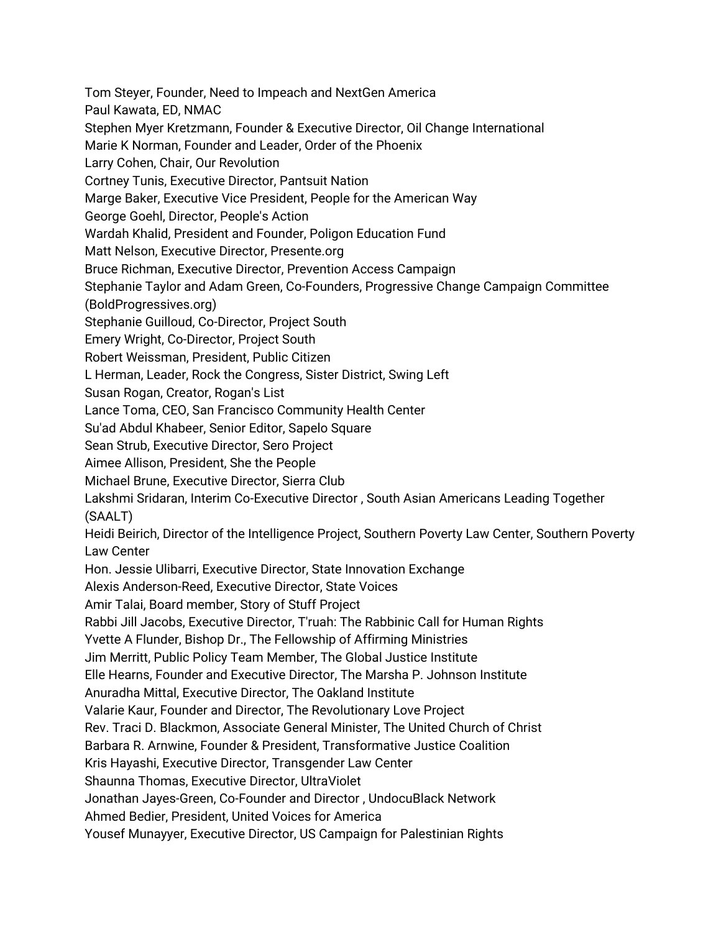Tom Steyer, Founder, Need to Impeach and NextGen America

Paul Kawata, ED, NMAC

Stephen Myer Kretzmann, Founder & Executive Director, Oil Change International

Marie K Norman, Founder and Leader, Order of the Phoenix

Larry Cohen, Chair, Our Revolution

Cortney Tunis, Executive Director, Pantsuit Nation

Marge Baker, Executive Vice President, People for the American Way

George Goehl, Director, People's Action

Wardah Khalid, President and Founder, Poligon Education Fund

Matt Nelson, Executive Director, Presente.org

Bruce Richman, Executive Director, Prevention Access Campaign

Stephanie Taylor and Adam Green, Co-Founders, Progressive Change Campaign Committee

(BoldProgressives.org)

Stephanie Guilloud, Co-Director, Project South

Emery Wright, Co-Director, Project South

Robert Weissman, President, Public Citizen

L Herman, Leader, Rock the Congress, Sister District, Swing Left

Susan Rogan, Creator, Rogan's List

Lance Toma, CEO, San Francisco Community Health Center

Su'ad Abdul Khabeer, Senior Editor, Sapelo Square

Sean Strub, Executive Director, Sero Project

Aimee Allison, President, She the People

Michael Brune, Executive Director, Sierra Club

Lakshmi Sridaran, Interim Co-Executive Director , South Asian Americans Leading Together (SAALT)

Heidi Beirich, Director of the Intelligence Project, Southern Poverty Law Center, Southern Poverty Law Center

Hon. Jessie Ulibarri, Executive Director, State Innovation Exchange

Alexis Anderson-Reed, Executive Director, State Voices

Amir Talai, Board member, Story of Stuff Project

Rabbi Jill Jacobs, Executive Director, T'ruah: The Rabbinic Call for Human Rights

Yvette A Flunder, Bishop Dr., The Fellowship of Affirming Ministries

Jim Merritt, Public Policy Team Member, The Global Justice Institute

Elle Hearns, Founder and Executive Director, The Marsha P. Johnson Institute

Anuradha Mittal, Executive Director, The Oakland Institute

Valarie Kaur, Founder and Director, The Revolutionary Love Project

Rev. Traci D. Blackmon, Associate General Minister, The United Church of Christ

Barbara R. Arnwine, Founder & President, Transformative Justice Coalition

Kris Hayashi, Executive Director, Transgender Law Center

Shaunna Thomas, Executive Director, UltraViolet

Jonathan Jayes-Green, Co-Founder and Director , UndocuBlack Network

Ahmed Bedier, President, United Voices for America

Yousef Munayyer, Executive Director, US Campaign for Palestinian Rights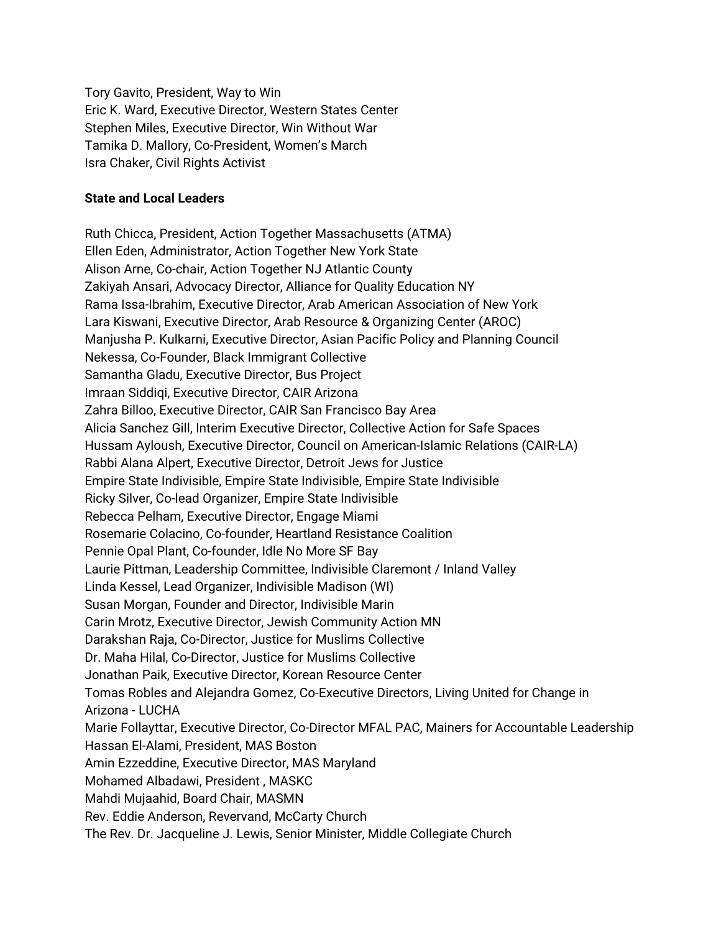Tory Gavito, President, Way to Win Eric K. Ward, Executive Director, Western States Center Stephen Miles, Executive Director, Win Without War Tamika D. Mallory, Co-President, Women's March Isra Chaker, Civil Rights Activist

## **State and Local Leaders**

Ruth Chicca, President, Action Together Massachusetts (ATMA) Ellen Eden, Administrator, Action Together New York State Alison Arne, Co-chair, Action Together NJ Atlantic County Zakiyah Ansari, Advocacy Director, Alliance for Quality Education NY Rama Issa-Ibrahim, Executive Director, Arab American Association of New York Lara Kiswani, Executive Director, Arab Resource & Organizing Center (AROC) Manjusha P. Kulkarni, Executive Director, Asian Pacific Policy and Planning Council Nekessa, Co-Founder, Black Immigrant Collective Samantha Gladu, Executive Director, Bus Project Imraan Siddiqi, Executive Director, CAIR Arizona Zahra Billoo, Executive Director, CAIR San Francisco Bay Area Alicia Sanchez Gill, Interim Executive Director, Collective Action for Safe Spaces Hussam Ayloush, Executive Director, Council on American-Islamic Relations (CAIR-LA) Rabbi Alana Alpert, Executive Director, Detroit Jews for Justice Empire State Indivisible, Empire State Indivisible, Empire State Indivisible Ricky Silver, Co-lead Organizer, Empire State Indivisible Rebecca Pelham, Executive Director, Engage Miami Rosemarie Colacino, Co-founder, Heartland Resistance Coalition Pennie Opal Plant, Co-founder, Idle No More SF Bay Laurie Pittman, Leadership Committee, Indivisible Claremont / Inland Valley Linda Kessel, Lead Organizer, Indivisible Madison (WI) Susan Morgan, Founder and Director, Indivisible Marin Carin Mrotz, Executive Director, Jewish Community Action MN Darakshan Raja, Co-Director, Justice for Muslims Collective Dr. Maha Hilal, Co-Director, Justice for Muslims Collective Jonathan Paik, Executive Director, Korean Resource Center Tomas Robles and Alejandra Gomez, Co-Executive Directors, Living United for Change in Arizona - LUCHA Marie Follayttar, Executive Director, Co-Director MFAL PAC, Mainers for Accountable Leadership Hassan El-Alami, President, MAS Boston Amin Ezzeddine, Executive Director, MAS Maryland Mohamed Albadawi, President , MASKC Mahdi Mujaahid, Board Chair, MASMN Rev. Eddie Anderson, Revervand, McCarty Church The Rev. Dr. Jacqueline J. Lewis, Senior Minister, Middle Collegiate Church